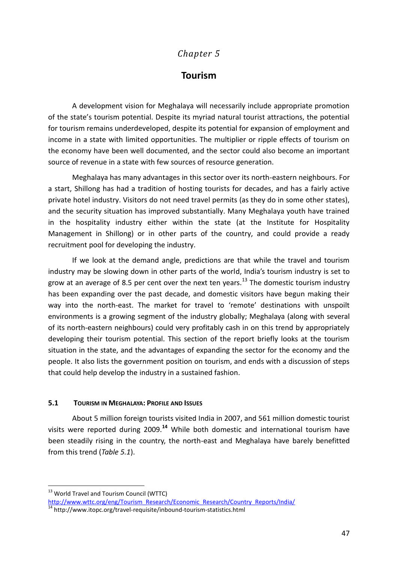# *Chapter 5*

# **Tourism**

A development vision for Meghalaya will necessarily include appropriate promotion of the state's tourism potential. Despite its myriad natural tourist attractions, the potential for tourism remains underdeveloped, despite its potential for expansion of employment and income in a state with limited opportunities. The multiplier or ripple effects of tourism on the economy have been well documented, and the sector could also become an important source of revenue in a state with few sources of resource generation.

Meghalaya has many advantages in this sector over its north-eastern neighbours. For a start, Shillong has had a tradition of hosting tourists for decades, and has a fairly active private hotel industry. Visitors do not need travel permits (as they do in some other states), and the security situation has improved substantially. Many Meghalaya youth have trained in the hospitality industry either within the state (at the Institute for Hospitality Management in Shillong) or in other parts of the country, and could provide a ready recruitment pool for developing the industry.

If we look at the demand angle, predictions are that while the travel and tourism industry may be slowing down in other parts of the world, India's tourism industry is set to grow at an average of 8.5 per cent over the next ten years.<sup>13</sup> The domestic tourism industry has been expanding over the past decade, and domestic visitors have begun making their way into the north-east. The market for travel to 'remote' destinations with unspoilt environments is a growing segment of the industry globally; Meghalaya (along with several of its north-eastern neighbours) could very profitably cash in on this trend by appropriately developing their tourism potential. This section of the report briefly looks at the tourism situation in the state, and the advantages of expanding the sector for the economy and the people. It also lists the government position on tourism, and ends with a discussion of steps that could help develop the industry in a sustained fashion.

## **5.1 TOURISM IN MEGHALAYA: PROFILE AND ISSUES**

About 5 million foreign tourists visited India in 2007, and 561 million domestic tourist visits were reported during 2009.**<sup>14</sup>** While both domestic and international tourism have been steadily rising in the country, the north-east and Meghalaya have barely benefitted from this trend (*Table 5.1*).

1

<sup>&</sup>lt;sup>13</sup> World Travel and Tourism Council (WTTC)

[http://www.wttc.org/eng/Tourism\\_Research/Economic\\_Research/Country\\_Reports/India/](http://www.wttc.org/eng/Tourism_Research/Economic_Research/Country_Reports/India/)

 $\frac{14}{14}$  http://www.itopc.org/travel-requisite/inbound-tourism-statistics.html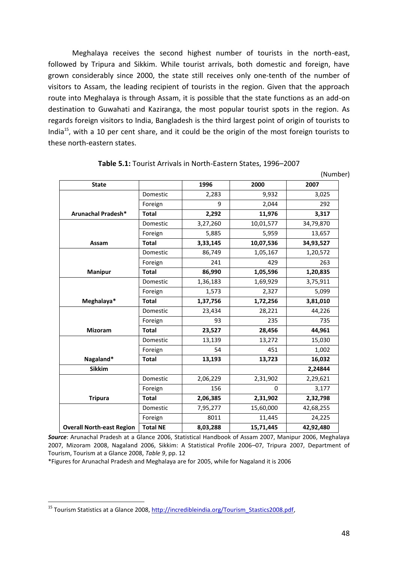Meghalaya receives the second highest number of tourists in the north-east, followed by Tripura and Sikkim. While tourist arrivals, both domestic and foreign, have grown considerably since 2000, the state still receives only one-tenth of the number of visitors to Assam, the leading recipient of tourists in the region. Given that the approach route into Meghalaya is through Assam, it is possible that the state functions as an add-on destination to Guwahati and Kaziranga, the most popular tourist spots in the region. As regards foreign visitors to India, Bangladesh is the third largest point of origin of tourists to India<sup>15</sup>, with a 10 per cent share, and it could be the origin of the most foreign tourists to these north-eastern states.

| <b>State</b>                     |                 | 1996     | 2000      | 2007      |
|----------------------------------|-----------------|----------|-----------|-----------|
|                                  | Domestic        | 2,283    | 9,932     | 3,025     |
|                                  | Foreign         | 9        | 2,044     | 292       |
| Arunachal Pradesh*               | <b>Total</b>    | 2,292    | 11,976    | 3,317     |
|                                  | Domestic        | 3,27,260 | 10,01,577 | 34,79,870 |
|                                  | Foreign         | 5,885    | 5,959     | 13,657    |
| Assam                            | <b>Total</b>    | 3,33,145 | 10,07,536 | 34,93,527 |
|                                  | Domestic        | 86,749   | 1,05,167  | 1,20,572  |
|                                  | Foreign         | 241      | 429       | 263       |
| <b>Manipur</b>                   | <b>Total</b>    | 86,990   | 1,05,596  | 1,20,835  |
|                                  | Domestic        | 1,36,183 | 1,69,929  | 3,75,911  |
|                                  | Foreign         | 1,573    | 2,327     | 5,099     |
| Meghalaya*                       | <b>Total</b>    | 1,37,756 | 1,72,256  | 3,81,010  |
|                                  | Domestic        | 23,434   | 28,221    | 44,226    |
|                                  | Foreign         | 93       | 235       | 735       |
| <b>Mizoram</b>                   | <b>Total</b>    | 23,527   | 28,456    | 44,961    |
|                                  | Domestic        | 13,139   | 13,272    | 15,030    |
|                                  | Foreign         | 54       | 451       | 1,002     |
| Nagaland*                        | <b>Total</b>    | 13,193   | 13,723    | 16,032    |
| <b>Sikkim</b>                    |                 |          |           | 2,24844   |
|                                  | Domestic        | 2,06,229 | 2,31,902  | 2,29,621  |
|                                  | Foreign         | 156      | $\Omega$  | 3,177     |
| <b>Tripura</b>                   | <b>Total</b>    | 2,06,385 | 2,31,902  | 2,32,798  |
|                                  | Domestic        | 7,95,277 | 15,60,000 | 42,68,255 |
|                                  | Foreign         | 8011     | 11,445    | 24,225    |
| <b>Overall North-east Region</b> | <b>Total NE</b> | 8,03,288 | 15,71,445 | 42,92,480 |

**Table 5.1:** Tourist Arrivals in North-Eastern States, 1996–2007

*Source*: Arunachal Pradesh at a Glance 2006, Statistical Handbook of Assam 2007, Manipur 2006, Meghalaya 2007, Mizoram 2008, Nagaland 2006, Sikkim: A Statistical Profile 2006–07, Tripura 2007, Department of Tourism, Tourism at a Glance 2008, *Table 9*, pp. 12

\*Figures for Arunachal Pradesh and Meghalaya are for 2005, while for Nagaland it is 2006

1

(Number)

<sup>&</sup>lt;sup>15</sup> Tourism Statistics at a Glance 2008, [http://incredibleindia.org/Tourism\\_Stastics2008.pdf,](http://incredibleindia.org/Tourism_Stastics2008.pdf)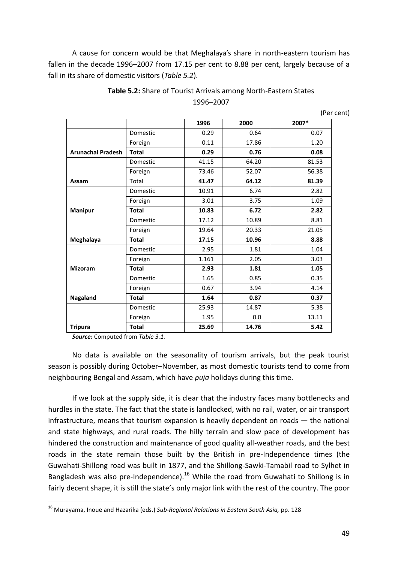A cause for concern would be that Meghalaya's share in north-eastern tourism has fallen in the decade 1996–2007 from 17.15 per cent to 8.88 per cent, largely because of a fall in its share of domestic visitors (*Table 5.2*).

|                          |              | 1996  | 2000  | 2007* |
|--------------------------|--------------|-------|-------|-------|
|                          | Domestic     | 0.29  | 0.64  | 0.07  |
|                          | Foreign      | 0.11  | 17.86 | 1.20  |
| <b>Arunachal Pradesh</b> | <b>Total</b> | 0.29  | 0.76  | 0.08  |
|                          | Domestic     | 41.15 | 64.20 | 81.53 |
|                          | Foreign      | 73.46 | 52.07 | 56.38 |
| Assam                    | Total        | 41.47 | 64.12 | 81.39 |
|                          | Domestic     | 10.91 | 6.74  | 2.82  |
|                          | Foreign      | 3.01  | 3.75  | 1.09  |
| <b>Manipur</b>           | <b>Total</b> | 10.83 | 6.72  | 2.82  |
|                          | Domestic     | 17.12 | 10.89 | 8.81  |
|                          | Foreign      | 19.64 | 20.33 | 21.05 |
| Meghalaya                | <b>Total</b> | 17.15 | 10.96 | 8.88  |
|                          | Domestic     | 2.95  | 1.81  | 1.04  |
|                          | Foreign      | 1.161 | 2.05  | 3.03  |
| <b>Mizoram</b>           | <b>Total</b> | 2.93  | 1.81  | 1.05  |
|                          | Domestic     | 1.65  | 0.85  | 0.35  |
|                          | Foreign      | 0.67  | 3.94  | 4.14  |
| Nagaland                 | <b>Total</b> | 1.64  | 0.87  | 0.37  |
|                          | Domestic     | 25.93 | 14.87 | 5.38  |
|                          | Foreign      | 1.95  | 0.0   | 13.11 |
| <b>Tripura</b>           | <b>Total</b> | 25.69 | 14.76 | 5.42  |

## **Table 5.2:** Share of Tourist Arrivals among North-Eastern States 1996–2007

(Per cent)

*Source:* Computed from *Table 3.1.*

1

No data is available on the seasonality of tourism arrivals, but the peak tourist season is possibly during October–November, as most domestic tourists tend to come from neighbouring Bengal and Assam, which have *puja* holidays during this time.

If we look at the supply side, it is clear that the industry faces many bottlenecks and hurdles in the state. The fact that the state is landlocked, with no rail, water, or air transport infrastructure, means that tourism expansion is heavily dependent on roads — the national and state highways, and rural roads. The hilly terrain and slow pace of development has hindered the construction and maintenance of good quality all-weather roads, and the best roads in the state remain those built by the British in pre-Independence times (the Guwahati-Shillong road was built in 1877, and the Shillong-Sawki-Tamabil road to Sylhet in Bangladesh was also pre-Independence).<sup>16</sup> While the road from Guwahati to Shillong is in fairly decent shape, it is still the state's only major link with the rest of the country. The poor

<sup>16</sup> Murayama, Inoue and Hazarika (eds.) *Sub-Regional Relations in Eastern South Asia,* pp. 128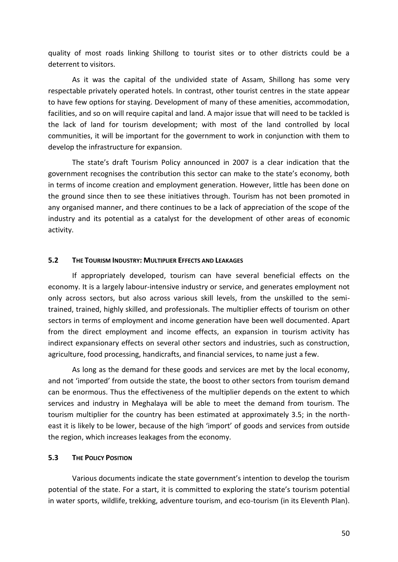quality of most roads linking Shillong to tourist sites or to other districts could be a deterrent to visitors.

As it was the capital of the undivided state of Assam, Shillong has some very respectable privately operated hotels. In contrast, other tourist centres in the state appear to have few options for staying. Development of many of these amenities, accommodation, facilities, and so on will require capital and land. A major issue that will need to be tackled is the lack of land for tourism development; with most of the land controlled by local communities, it will be important for the government to work in conjunction with them to develop the infrastructure for expansion.

The state's draft Tourism Policy announced in 2007 is a clear indication that the government recognises the contribution this sector can make to the state's economy, both in terms of income creation and employment generation. However, little has been done on the ground since then to see these initiatives through. Tourism has not been promoted in any organised manner, and there continues to be a lack of appreciation of the scope of the industry and its potential as a catalyst for the development of other areas of economic activity.

#### **5.2 THE TOURISM INDUSTRY: MULTIPLIER EFFECTS AND LEAKAGES**

If appropriately developed, tourism can have several beneficial effects on the economy. It is a largely labour-intensive industry or service, and generates employment not only across sectors, but also across various skill levels, from the unskilled to the semitrained, trained, highly skilled, and professionals. The multiplier effects of tourism on other sectors in terms of employment and income generation have been well documented. Apart from the direct employment and income effects, an expansion in tourism activity has indirect expansionary effects on several other sectors and industries, such as construction, agriculture, food processing, handicrafts, and financial services, to name just a few.

As long as the demand for these goods and services are met by the local economy, and not 'imported' from outside the state, the boost to other sectors from tourism demand can be enormous. Thus the effectiveness of the multiplier depends on the extent to which services and industry in Meghalaya will be able to meet the demand from tourism. The tourism multiplier for the country has been estimated at approximately 3.5; in the northeast it is likely to be lower, because of the high 'import' of goods and services from outside the region, which increases leakages from the economy.

#### **5.3 THE POLICY POSITION**

Various documents indicate the state government's intention to develop the tourism potential of the state. For a start, it is committed to exploring the state's tourism potential in water sports, wildlife, trekking, adventure tourism, and eco-tourism (in its Eleventh Plan).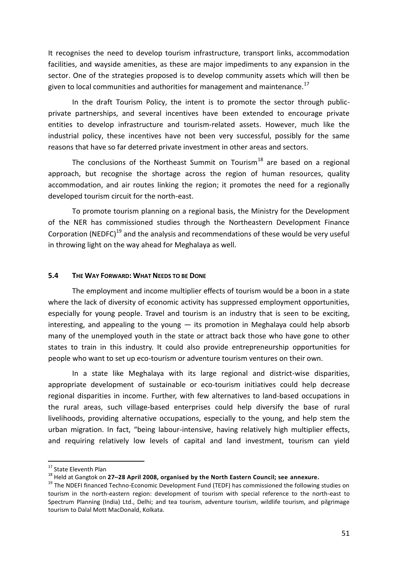It recognises the need to develop tourism infrastructure, transport links, accommodation facilities, and wayside amenities, as these are major impediments to any expansion in the sector. One of the strategies proposed is to develop community assets which will then be given to local communities and authorities for management and maintenance.<sup>17</sup>

In the draft Tourism Policy, the intent is to promote the sector through publicprivate partnerships, and several incentives have been extended to encourage private entities to develop infrastructure and tourism-related assets. However, much like the industrial policy, these incentives have not been very successful, possibly for the same reasons that have so far deterred private investment in other areas and sectors.

The conclusions of the Northeast Summit on Tourism<sup>18</sup> are based on a regional approach, but recognise the shortage across the region of human resources, quality accommodation, and air routes linking the region; it promotes the need for a regionally developed tourism circuit for the north-east.

To promote tourism planning on a regional basis, the Ministry for the Development of the NER has commissioned studies through the Northeastern Development Finance Corporation (NEDFC)<sup>19</sup> and the analysis and recommendations of these would be very useful in throwing light on the way ahead for Meghalaya as well.

#### **5.4 THE WAY FORWARD: WHAT NEEDS TO BE DONE**

The employment and income multiplier effects of tourism would be a boon in a state where the lack of diversity of economic activity has suppressed employment opportunities, especially for young people. Travel and tourism is an industry that is seen to be exciting, interesting, and appealing to the young  $-$  its promotion in Meghalaya could help absorb many of the unemployed youth in the state or attract back those who have gone to other states to train in this industry. It could also provide entrepreneurship opportunities for people who want to set up eco-tourism or adventure tourism ventures on their own.

In a state like Meghalaya with its large regional and district-wise disparities, appropriate development of sustainable or eco-tourism initiatives could help decrease regional disparities in income. Further, with few alternatives to land-based occupations in the rural areas, such village-based enterprises could help diversify the base of rural livelihoods, providing alternative occupations, especially to the young, and help stem the urban migration. In fact, "being labour-intensive, having relatively high multiplier effects, and requiring relatively low levels of capital and land investment, tourism can yield

1

<sup>&</sup>lt;sup>17</sup> State Eleventh Plan

<sup>18</sup> Held at Gangtok on **27–28 April 2008, organised by the North Eastern Council; see annexure.** 

<sup>&</sup>lt;sup>19</sup> The NDEFI financed Techno-Economic Development Fund (TEDF) has commissioned the following studies on tourism in the north-eastern region: development of tourism with special reference to the north-east to Spectrum Planning (India) Ltd., Delhi; and tea tourism, adventure tourism, wildlife tourism, and pilgrimage tourism to Dalal Mott MacDonald, Kolkata.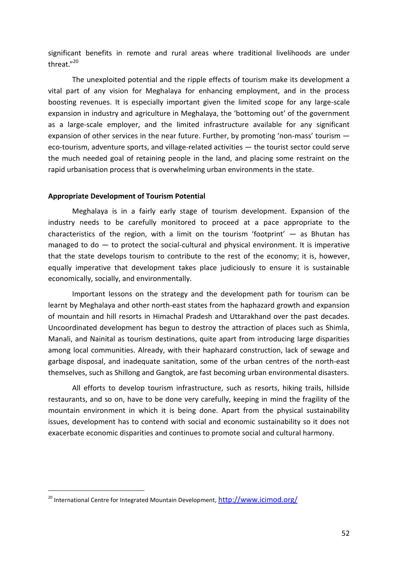significant benefits in remote and rural areas where traditional livelihoods are under threat."<sup>20</sup>

The unexploited potential and the ripple effects of tourism make its development a vital part of any vision for Meghalaya for enhancing employment, and in the process boosting revenues. It is especially important given the limited scope for any large-scale expansion in industry and agriculture in Meghalaya, the 'bottoming out' of the government as a large-scale employer, and the limited infrastructure available for any significant expansion of other services in the near future. Further, by promoting 'non-mass' tourism eco-tourism, adventure sports, and village-related activities — the tourist sector could serve the much needed goal of retaining people in the land, and placing some restraint on the rapid urbanisation process that is overwhelming urban environments in the state.

#### **Appropriate Development of Tourism Potential**

Meghalaya is in a fairly early stage of tourism development. Expansion of the industry needs to be carefully monitored to proceed at a pace appropriate to the characteristics of the region, with a limit on the tourism 'footprint'  $-$  as Bhutan has managed to do — to protect the social-cultural and physical environment. It is imperative that the state develops tourism to contribute to the rest of the economy; it is, however, equally imperative that development takes place judiciously to ensure it is sustainable economically, socially, and environmentally.

Important lessons on the strategy and the development path for tourism can be learnt by Meghalaya and other north-east states from the haphazard growth and expansion of mountain and hill resorts in Himachal Pradesh and Uttarakhand over the past decades. Uncoordinated development has begun to destroy the attraction of places such as Shimla, Manali, and Nainital as tourism destinations, quite apart from introducing large disparities among local communities. Already, with their haphazard construction, lack of sewage and garbage disposal, and inadequate sanitation, some of the urban centres of the north-east themselves, such as Shillong and Gangtok, are fast becoming urban environmental disasters.

All efforts to develop tourism infrastructure, such as resorts, hiking trails, hillside restaurants, and so on, have to be done very carefully, keeping in mind the fragility of the mountain environment in which it is being done. Apart from the physical sustainability issues, development has to contend with social and economic sustainability so it does not exacerbate economic disparities and continues to promote social and cultural harmony.

-

<sup>&</sup>lt;sup>20</sup> International Centre for Integrated Mountain Development, <http://www.icimod.org/>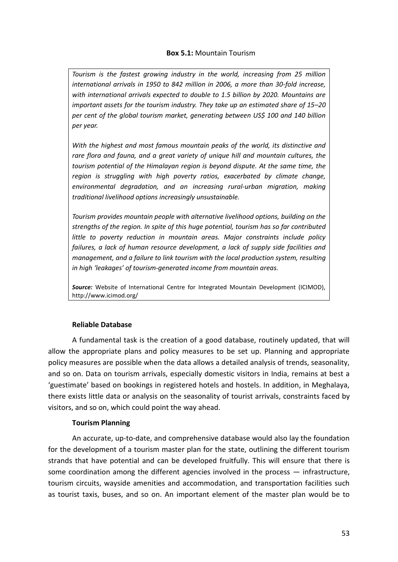## **Box 5.1:** Mountain Tourism

*Tourism is the fastest growing industry in the world, increasing from 25 million international arrivals in 1950 to 842 million in 2006, a more than 30-fold increase, with international arrivals expected to double to 1.5 billion by 2020. Mountains are important assets for the tourism industry. They take up an estimated share of 15–20 per cent of the global tourism market, generating between US\$ 100 and 140 billion per year.* 

*With the highest and most famous mountain peaks of the world, its distinctive and rare flora and fauna, and a great variety of unique hill and mountain cultures, the tourism potential of the Himalayan region is beyond dispute. At the same time, the region is struggling with high poverty ratios, exacerbated by climate change, environmental degradation, and an increasing rural-urban migration, making traditional livelihood options increasingly unsustainable.*

*Tourism provides mountain people with alternative livelihood options, building on the strengths of the region. In spite of this huge potential, tourism has so far contributed little to poverty reduction in mountain areas. Major constraints include policy failures, a lack of human resource development, a lack of supply side facilities and management, and a failure to link tourism with the local production system, resulting in high 'leakages' of tourism-generated income from mountain areas.* 

*Source:* Website of International Centre for Integrated Mountain Development (ICIMOD), http://www.icimod.org/

## **Reliable Database**

A fundamental task is the creation of a good database, routinely updated, that will allow the appropriate plans and policy measures to be set up. Planning and appropriate policy measures are possible when the data allows a detailed analysis of trends, seasonality, and so on. Data on tourism arrivals, especially domestic visitors in India, remains at best a 'guestimate' based on bookings in registered hotels and hostels. In addition, in Meghalaya, there exists little data or analysis on the seasonality of tourist arrivals, constraints faced by visitors, and so on, which could point the way ahead.

## **Tourism Planning**

An accurate, up-to-date, and comprehensive database would also lay the foundation for the development of a tourism master plan for the state, outlining the different tourism strands that have potential and can be developed fruitfully. This will ensure that there is some coordination among the different agencies involved in the process — infrastructure, tourism circuits, wayside amenities and accommodation, and transportation facilities such as tourist taxis, buses, and so on. An important element of the master plan would be to